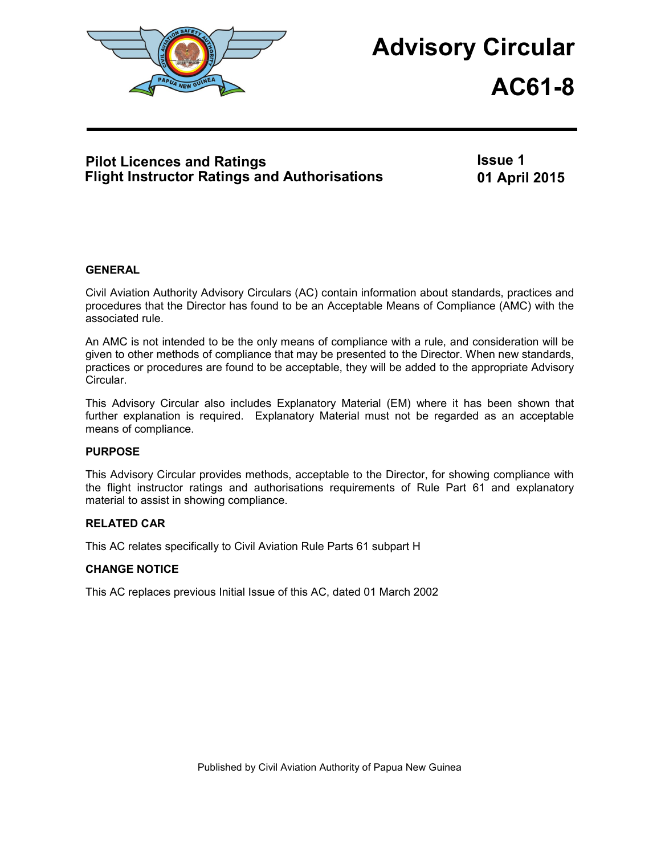

# **Advisory Circular**

# **AC61-8**

## **Pilot Licences and Ratings Flight Instructor Ratings and Authorisations**

**Issue 1 01 April 2015**

## **GENERAL**

Civil Aviation Authority Advisory Circulars (AC) contain information about standards, practices and procedures that the Director has found to be an Acceptable Means of Compliance (AMC) with the associated rule.

An AMC is not intended to be the only means of compliance with a rule, and consideration will be given to other methods of compliance that may be presented to the Director. When new standards, practices or procedures are found to be acceptable, they will be added to the appropriate Advisory Circular.

This Advisory Circular also includes Explanatory Material (EM) where it has been shown that further explanation is required. Explanatory Material must not be regarded as an acceptable means of compliance.

## **PURPOSE**

This Advisory Circular provides methods, acceptable to the Director, for showing compliance with the flight instructor ratings and authorisations requirements of Rule Part 61 and explanatory material to assist in showing compliance.

## **RELATED CAR**

This AC relates specifically to Civil Aviation Rule Parts 61 subpart H

## **CHANGE NOTICE**

This AC replaces previous Initial Issue of this AC, dated 01 March 2002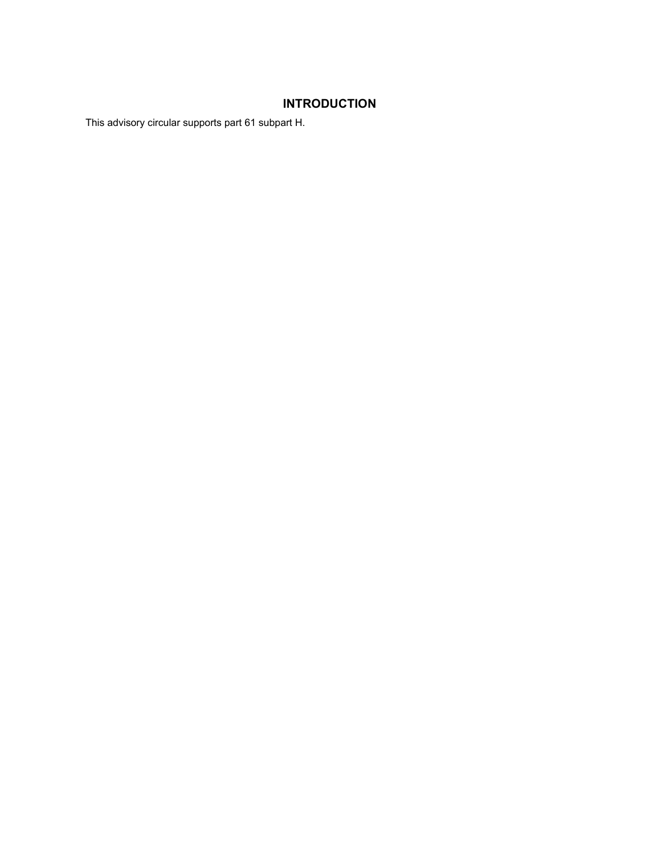## **INTRODUCTION**

This advisory circular supports part 61 subpart H.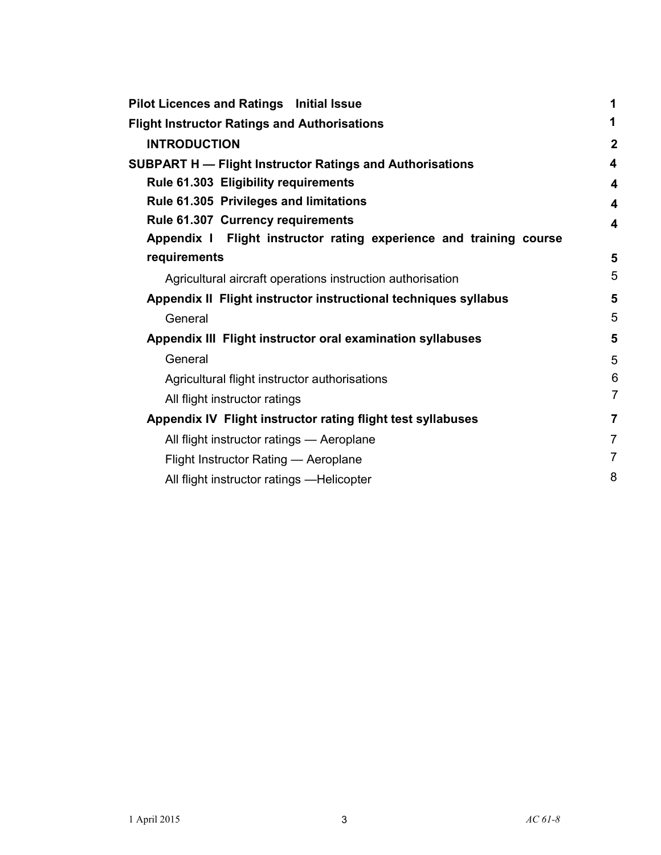| <b>Pilot Licences and Ratings Initial Issue</b>                    | 1                       |
|--------------------------------------------------------------------|-------------------------|
| <b>Flight Instructor Ratings and Authorisations</b>                | 1                       |
| <b>INTRODUCTION</b>                                                | $\boldsymbol{2}$        |
| <b>SUBPART H - Flight Instructor Ratings and Authorisations</b>    | $\overline{\mathbf{4}}$ |
| Rule 61.303 Eligibility requirements                               | $\boldsymbol{4}$        |
| Rule 61.305 Privileges and limitations                             | $\overline{\mathbf{4}}$ |
| Rule 61.307 Currency requirements                                  | $\overline{\mathbf{4}}$ |
| Appendix I Flight instructor rating experience and training course |                         |
| requirements                                                       | 5                       |
| Agricultural aircraft operations instruction authorisation         | 5                       |
| Appendix II Flight instructor instructional techniques syllabus    | 5                       |
| General                                                            | 5                       |
| Appendix III Flight instructor oral examination syllabuses         | 5                       |
| General                                                            | 5                       |
| Agricultural flight instructor authorisations                      | 6                       |
| All flight instructor ratings                                      | 7                       |
| Appendix IV Flight instructor rating flight test syllabuses        | $\overline{7}$          |
| All flight instructor ratings - Aeroplane                          | $\overline{7}$          |
| Flight Instructor Rating - Aeroplane                               | $\overline{7}$          |
| All flight instructor ratings -Helicopter                          | 8                       |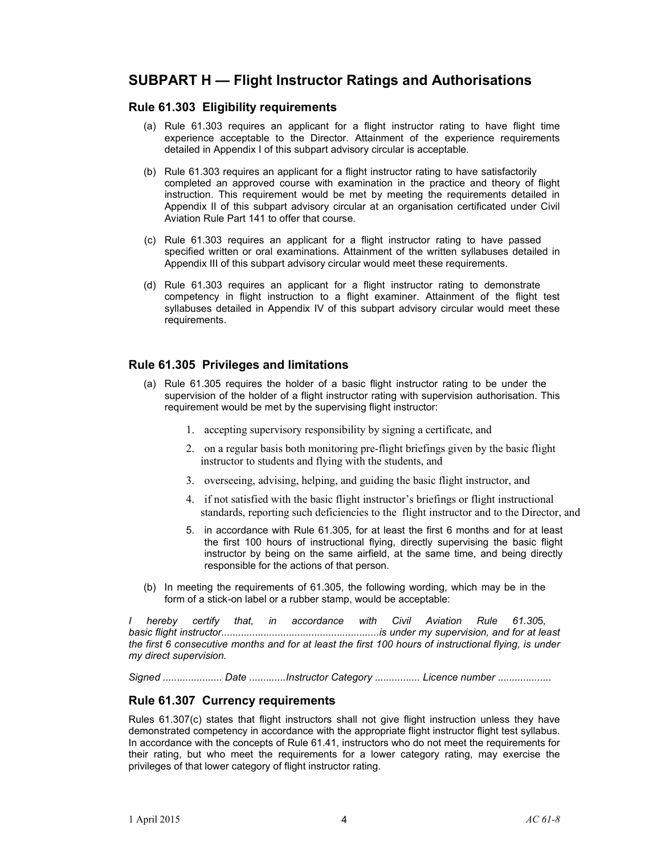# **SUBPART H — Flight Instructor Ratings and Authorisations**

### **Rule 61.303 Eligibility requirements**

- (a) Rule 61.303 requires an applicant for a flight instructor rating to have flight time experience acceptable to the Director. Attainment of the experience requirements detailed in Appendix I of this subpart advisory circular is acceptable.
- (b) Rule 61.303 requires an applicant for a flight instructor rating to have satisfactorily completed an approved course with examination in the practice and theory of flight instruction. This requirement would be met by meeting the requirements detailed in Appendix II of this subpart advisory circular at an organisation certificated under Civil Aviation Rule Part 141 to offer that course.
- (c) Rule 61.303 requires an applicant for a flight instructor rating to have passed specified written or oral examinations. Attainment of the written syllabuses detailed in Appendix III of this subpart advisory circular would meet these requirements.
- (d) Rule 61.303 requires an applicant for a flight instructor rating to demonstrate competency in flight instruction to a flight examiner. Attainment of the flight test syllabuses detailed in Appendix IV of this subpart advisory circular would meet these requirements.

## **Rule 61.305 Privileges and limitations**

- (a) Rule 61.305 requires the holder of a basic flight instructor rating to be under the supervision of the holder of a flight instructor rating with supervision authorisation. This requirement would be met by the supervising flight instructor:
	- 1. accepting supervisory responsibility by signing a certificate, and
	- 2. on a regular basis both monitoring pre-flight briefings given by the basic flight instructor to students and flying with the students, and
	- 3. overseeing, advising, helping, and guiding the basic flight instructor, and
	- 4. if not satisfied with the basic flight instructor's briefings or flight instructional standards, reporting such deficiencies to the flight instructor and to the Director, and
	- 5. in accordance with Rule 61.305, for at least the first 6 months and for at least the first 100 hours of instructional flying, directly supervising the basic flight instructor by being on the same airfield, at the same time, and being directly responsible for the actions of that person.
- (b) In meeting the requirements of 61.305, the following wording, which may be in the form of a stick-on label or a rubber stamp, would be acceptable:

*I hereby certify that, in accordance with Civil Aviation Rule 61.30*5*, basic flight instructor........................................................is under my supervision, and for at least the first 6 consecutive months and for at least the first 100 hours of instructional flying, is under my direct supervision.* 

*Signed ..................... Date .............Instructor Category ................ Licence number ...................* 

## **Rule 61.307 Currency requirements**

Rules 61.307(c) states that flight instructors shall not give flight instruction unless they have demonstrated competency in accordance with the appropriate flight instructor flight test syllabus. In accordance with the concepts of Rule 61.41, instructors who do not meet the requirements for their rating, but who meet the requirements for a lower category rating, may exercise the privileges of that lower category of flight instructor rating.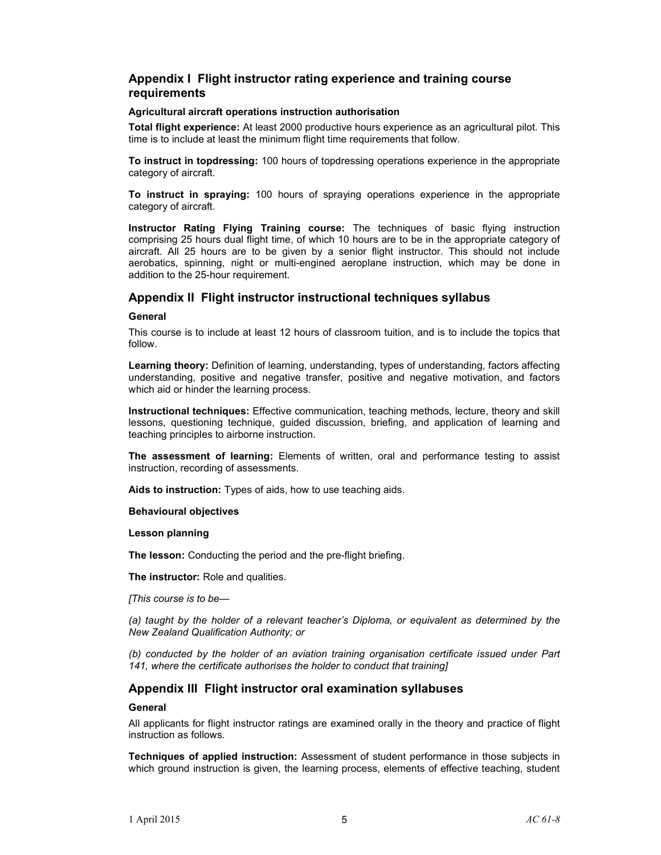## **Appendix I Flight instructor rating experience and training course requirements**

#### **Agricultural aircraft operations instruction authorisation**

**Total flight experience:** At least 2000 productive hours experience as an agricultural pilot. This time is to include at least the minimum flight time requirements that follow.

**To instruct in topdressing:** 100 hours of topdressing operations experience in the appropriate category of aircraft.

**To instruct in spraying:** 100 hours of spraying operations experience in the appropriate category of aircraft.

**Instructor Rating Flying Training course:** The techniques of basic flying instruction comprising 25 hours dual flight time, of which 10 hours are to be in the appropriate category of aircraft. All 25 hours are to be given by a senior flight instructor. This should not include aerobatics, spinning, night or multi-engined aeroplane instruction, which may be done in addition to the 25-hour requirement.

## **Appendix II Flight instructor instructional techniques syllabus**

#### **General**

This course is to include at least 12 hours of classroom tuition, and is to include the topics that follow.

**Learning theory:** Definition of learning, understanding, types of understanding, factors affecting understanding, positive and negative transfer, positive and negative motivation, and factors which aid or hinder the learning process.

**Instructional techniques:** Effective communication, teaching methods, lecture, theory and skill lessons, questioning technique, guided discussion, briefing, and application of learning and teaching principles to airborne instruction.

**The assessment of learning:** Elements of written, oral and performance testing to assist instruction, recording of assessments.

**Aids to instruction:** Types of aids, how to use teaching aids.

#### **Behavioural objectives**

#### **Lesson planning**

**The lesson:** Conducting the period and the pre-flight briefing.

**The instructor:** Role and qualities.

*[This course is to be—* 

*(a) taught by the holder of a relevant teacher's Diploma, or equivalent as determined by the New Zealand Qualification Authority; or* 

*(b) conducted by the holder of an aviation training organisation certificate issued under Part 141, where the certificate authorises the holder to conduct that training]* 

## **Appendix III Flight instructor oral examination syllabuses**

#### **General**

All applicants for flight instructor ratings are examined orally in the theory and practice of flight instruction as follows.

**Techniques of applied instruction:** Assessment of student performance in those subjects in which ground instruction is given, the learning process, elements of effective teaching, student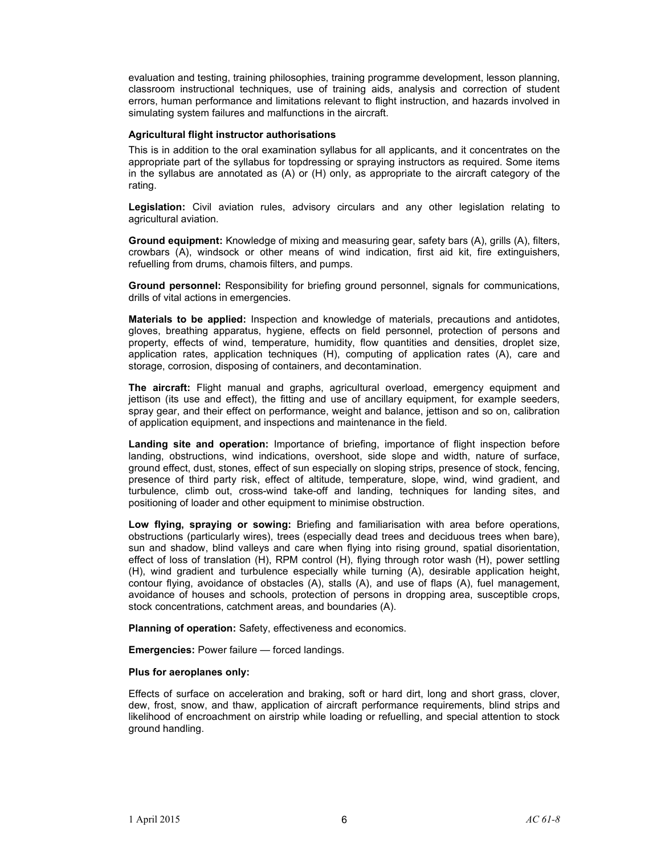evaluation and testing, training philosophies, training programme development, lesson planning, classroom instructional techniques, use of training aids, analysis and correction of student errors, human performance and limitations relevant to flight instruction, and hazards involved in simulating system failures and malfunctions in the aircraft.

#### **Agricultural flight instructor authorisations**

This is in addition to the oral examination syllabus for all applicants, and it concentrates on the appropriate part of the syllabus for topdressing or spraying instructors as required. Some items in the syllabus are annotated as (A) or (H) only, as appropriate to the aircraft category of the rating.

**Legislation:** Civil aviation rules, advisory circulars and any other legislation relating to agricultural aviation.

**Ground equipment:** Knowledge of mixing and measuring gear, safety bars (A), grills (A), filters, crowbars (A), windsock or other means of wind indication, first aid kit, fire extinguishers, refuelling from drums, chamois filters, and pumps.

**Ground personnel:** Responsibility for briefing ground personnel, signals for communications, drills of vital actions in emergencies.

**Materials to be applied:** Inspection and knowledge of materials, precautions and antidotes, gloves, breathing apparatus, hygiene, effects on field personnel, protection of persons and property, effects of wind, temperature, humidity, flow quantities and densities, droplet size, application rates, application techniques (H), computing of application rates (A), care and storage, corrosion, disposing of containers, and decontamination.

**The aircraft:** Flight manual and graphs, agricultural overload, emergency equipment and jettison (its use and effect), the fitting and use of ancillary equipment, for example seeders, spray gear, and their effect on performance, weight and balance, jettison and so on, calibration of application equipment, and inspections and maintenance in the field.

**Landing site and operation:** Importance of briefing, importance of flight inspection before landing, obstructions, wind indications, overshoot, side slope and width, nature of surface, ground effect, dust, stones, effect of sun especially on sloping strips, presence of stock, fencing, presence of third party risk, effect of altitude, temperature, slope, wind, wind gradient, and turbulence, climb out, cross-wind take-off and landing, techniques for landing sites, and positioning of loader and other equipment to minimise obstruction.

**Low flying, spraying or sowing:** Briefing and familiarisation with area before operations, obstructions (particularly wires), trees (especially dead trees and deciduous trees when bare), sun and shadow, blind valleys and care when flying into rising ground, spatial disorientation, effect of loss of translation (H), RPM control (H), flying through rotor wash (H), power settling (H), wind gradient and turbulence especially while turning (A), desirable application height, contour flying, avoidance of obstacles (A), stalls (A), and use of flaps (A), fuel management, avoidance of houses and schools, protection of persons in dropping area, susceptible crops, stock concentrations, catchment areas, and boundaries (A).

**Planning of operation:** Safety, effectiveness and economics.

**Emergencies:** Power failure — forced landings.

#### **Plus for aeroplanes only:**

Effects of surface on acceleration and braking, soft or hard dirt, long and short grass, clover, dew, frost, snow, and thaw, application of aircraft performance requirements, blind strips and likelihood of encroachment on airstrip while loading or refuelling, and special attention to stock ground handling.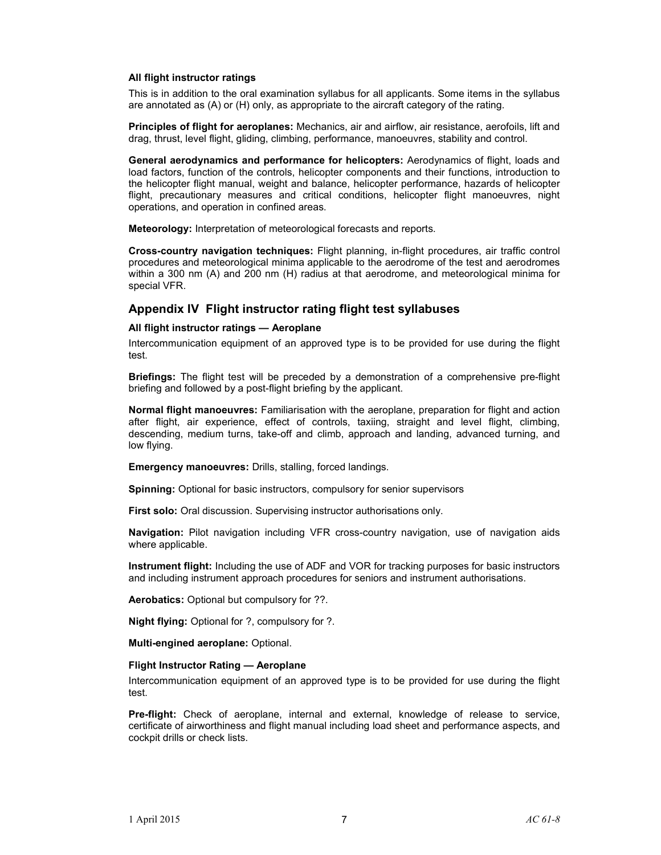#### **All flight instructor ratings**

This is in addition to the oral examination syllabus for all applicants. Some items in the syllabus are annotated as (A) or (H) only, as appropriate to the aircraft category of the rating.

**Principles of flight for aeroplanes:** Mechanics, air and airflow, air resistance, aerofoils, lift and drag, thrust, level flight, gliding, climbing, performance, manoeuvres, stability and control.

**General aerodynamics and performance for helicopters:** Aerodynamics of flight, loads and load factors, function of the controls, helicopter components and their functions, introduction to the helicopter flight manual, weight and balance, helicopter performance, hazards of helicopter flight, precautionary measures and critical conditions, helicopter flight manoeuvres, night operations, and operation in confined areas.

**Meteorology:** Interpretation of meteorological forecasts and reports.

**Cross-country navigation techniques:** Flight planning, in-flight procedures, air traffic control procedures and meteorological minima applicable to the aerodrome of the test and aerodromes within a 300 nm (A) and 200 nm (H) radius at that aerodrome, and meteorological minima for special VFR.

## **Appendix IV Flight instructor rating flight test syllabuses**

#### **All flight instructor ratings — Aeroplane**

Intercommunication equipment of an approved type is to be provided for use during the flight test.

**Briefings:** The flight test will be preceded by a demonstration of a comprehensive pre-flight briefing and followed by a post-flight briefing by the applicant.

**Normal flight manoeuvres:** Familiarisation with the aeroplane, preparation for flight and action after flight, air experience, effect of controls, taxiing, straight and level flight, climbing, descending, medium turns, take-off and climb, approach and landing, advanced turning, and low flying.

**Emergency manoeuvres:** Drills, stalling, forced landings.

**Spinning:** Optional for basic instructors, compulsory for senior supervisors

**First solo:** Oral discussion. Supervising instructor authorisations only.

**Navigation:** Pilot navigation including VFR cross-country navigation, use of navigation aids where applicable.

**Instrument flight:** Including the use of ADF and VOR for tracking purposes for basic instructors and including instrument approach procedures for seniors and instrument authorisations.

**Aerobatics:** Optional but compulsory for ??.

**Night flying:** Optional for ?, compulsory for ?.

**Multi-engined aeroplane:** Optional.

#### **Flight Instructor Rating — Aeroplane**

Intercommunication equipment of an approved type is to be provided for use during the flight test.

**Pre-flight:** Check of aeroplane, internal and external, knowledge of release to service, certificate of airworthiness and flight manual including load sheet and performance aspects, and cockpit drills or check lists.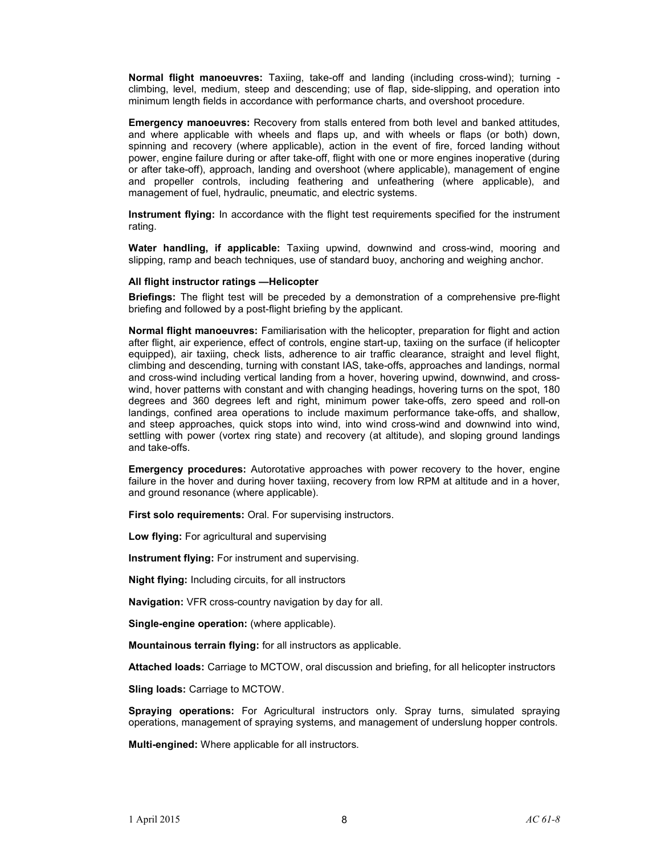**Normal flight manoeuvres:** Taxiing, take-off and landing (including cross-wind); turning climbing, level, medium, steep and descending; use of flap, side-slipping, and operation into minimum length fields in accordance with performance charts, and overshoot procedure.

**Emergency manoeuvres:** Recovery from stalls entered from both level and banked attitudes, and where applicable with wheels and flaps up, and with wheels or flaps (or both) down, spinning and recovery (where applicable), action in the event of fire, forced landing without power, engine failure during or after take-off, flight with one or more engines inoperative (during or after take-off), approach, landing and overshoot (where applicable), management of engine and propeller controls, including feathering and unfeathering (where applicable), and management of fuel, hydraulic, pneumatic, and electric systems.

**Instrument flying:** In accordance with the flight test requirements specified for the instrument rating.

**Water handling, if applicable:** Taxiing upwind, downwind and cross-wind, mooring and slipping, ramp and beach techniques, use of standard buoy, anchoring and weighing anchor.

#### **All flight instructor ratings —Helicopter**

**Briefings:** The flight test will be preceded by a demonstration of a comprehensive pre-flight briefing and followed by a post-flight briefing by the applicant.

**Normal flight manoeuvres:** Familiarisation with the helicopter, preparation for flight and action after flight, air experience, effect of controls, engine start-up, taxiing on the surface (if helicopter equipped), air taxiing, check lists, adherence to air traffic clearance, straight and level flight, climbing and descending, turning with constant IAS, take-offs, approaches and landings, normal and cross-wind including vertical landing from a hover, hovering upwind, downwind, and crosswind, hover patterns with constant and with changing headings, hovering turns on the spot, 180 degrees and 360 degrees left and right, minimum power take-offs, zero speed and roll-on landings, confined area operations to include maximum performance take-offs, and shallow, and steep approaches, quick stops into wind, into wind cross-wind and downwind into wind, settling with power (vortex ring state) and recovery (at altitude), and sloping ground landings and take-offs.

**Emergency procedures:** Autorotative approaches with power recovery to the hover, engine failure in the hover and during hover taxiing, recovery from low RPM at altitude and in a hover, and ground resonance (where applicable).

**First solo requirements:** Oral. For supervising instructors.

**Low flying:** For agricultural and supervising

**Instrument flying:** For instrument and supervising.

**Night flying:** Including circuits, for all instructors

**Navigation:** VFR cross-country navigation by day for all.

**Single-engine operation:** (where applicable).

**Mountainous terrain flying:** for all instructors as applicable.

**Attached loads:** Carriage to MCTOW, oral discussion and briefing, for all helicopter instructors

**Sling loads:** Carriage to MCTOW.

**Spraying operations:** For Agricultural instructors only. Spray turns, simulated spraying operations, management of spraying systems, and management of underslung hopper controls.

**Multi-engined:** Where applicable for all instructors.